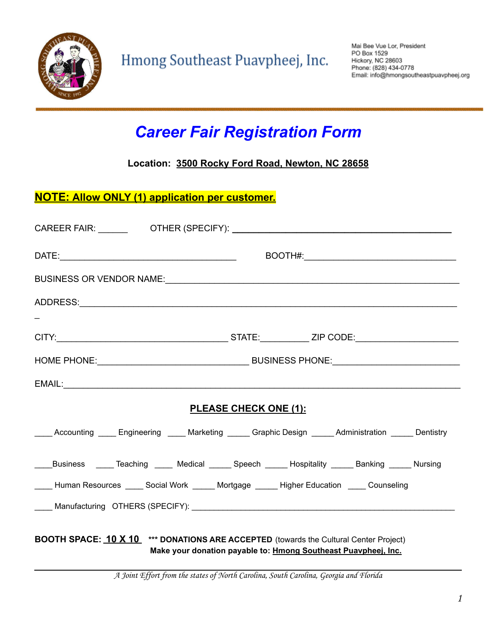

# *Career Fair Registration Form*

**Location: 3500 Rocky Ford Road, Newton, NC 28658**

#### **NOTE: Allow ONLY (1) application per customer.**

|                                                                                                                                                                | BUSINESS OR VENDOR NAME:                                                                                        |  |
|----------------------------------------------------------------------------------------------------------------------------------------------------------------|-----------------------------------------------------------------------------------------------------------------|--|
|                                                                                                                                                                |                                                                                                                 |  |
|                                                                                                                                                                |                                                                                                                 |  |
|                                                                                                                                                                |                                                                                                                 |  |
|                                                                                                                                                                |                                                                                                                 |  |
|                                                                                                                                                                |                                                                                                                 |  |
| <b>PLEASE CHECK ONE (1):</b>                                                                                                                                   |                                                                                                                 |  |
|                                                                                                                                                                | _____ Accounting _____ Engineering _____ Marketing ______ Graphic Design ______ Administration ______ Dentistry |  |
|                                                                                                                                                                | ____Business _____Teaching _____ Medical ______ Speech ______ Hospitality ______ Banking ______ Nursing         |  |
| ____ Human Resources _____ Social Work ______ Mortgage ______ Higher Education _____ Counseling                                                                |                                                                                                                 |  |
|                                                                                                                                                                |                                                                                                                 |  |
| <b>BOOTH SPACE: 10 X 10</b> *** DONATIONS ARE ACCEPTED (towards the Cultural Center Project)<br>Make your donation payable to: Hmong Southeast Puaypheei, Inc. |                                                                                                                 |  |

A Joint Effort from the states of North Carolina, South Carolina, Georgia and Florida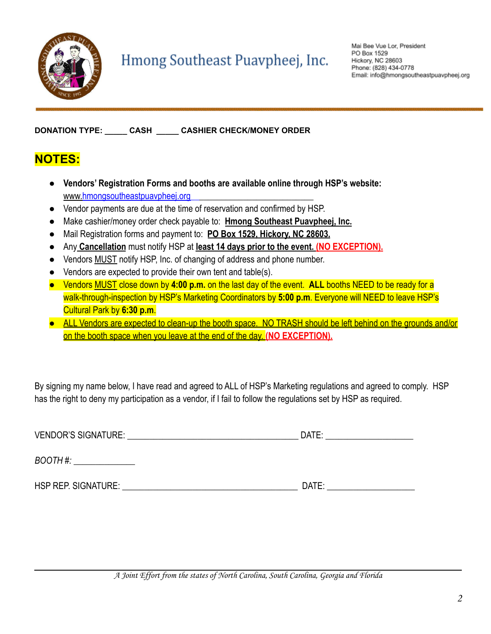

**DONATION TYPE: \_\_\_\_\_ CASH \_\_\_\_\_ CASHIER CHECK/MONEY ORDER**

### **NOTES:**

- **Vendors' Registration Forms and booths are available online through HSP's website:** www.hmongsoutheastpuavpheej.org
- Vendor payments are due at the time of reservation and confirmed by HSP.
- Make cashier/money order check payable to: **Hmong Southeast Puavpheej, Inc.**
- Mail Registration forms and payment to: **PO Box 1529, Hickory, NC 28603.**
- Any **Cancellation** must notify HSP at **least 14 days prior to the event. (NO EXCEPTION).**
- Vendors MUST notify HSP, Inc. of changing of address and phone number.
- Vendors are expected to provide their own tent and table(s).
- Vendors MUST close down by **4:00 p.m.** on the last day of the event. **ALL** booths NEED to be ready for a walk-through-inspection by HSP's Marketing Coordinators by **5:00 p.m**. Everyone will NEED to leave HSP's Cultural Park by **6:30 p.m**.
- **●** ALL Vendors are expected to clean-up the booth space. NO TRASH should be left behind on the grounds and/or on the booth space when you leave at the end of the day. **(NO EXCEPTION).**

By signing my name below, I have read and agreed to ALL of HSP's Marketing regulations and agreed to comply. HSP has the right to deny my participation as a vendor, if I fail to follow the regulations set by HSP as required.

| <b>VENDOR'S SIGNATURE:</b> | DATE: |
|----------------------------|-------|
| BOOTH#:                    |       |
| HSP REP. SIGNATURE:        | DATE: |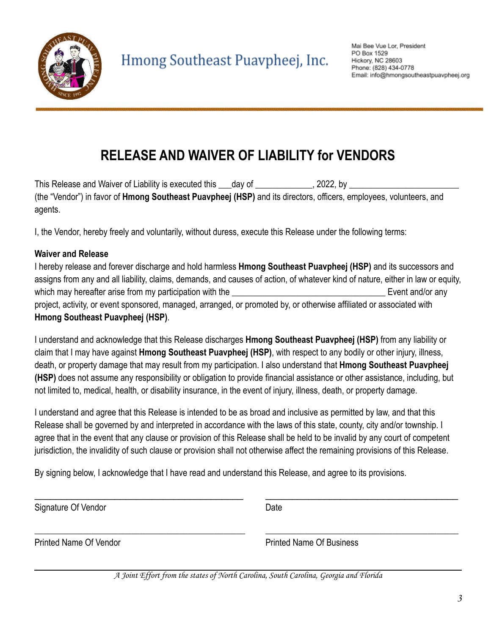

## **RELEASE AND WAIVER OF LIABILITY for VENDORS**

This Release and Waiver of Liability is executed this 100 and of 100 and 100 and 2022, by 100 and 100 and 100 and 100 and 100 and 100 and 100 and 100 and 100 and 100 and 100 and 100 and 100 and 100 and 100 and 100 and 100 (the "Vendor") in favor of **Hmong Southeast Puavpheej (HSP)** and its directors, officers, employees, volunteers, and agents.

I, the Vendor, hereby freely and voluntarily, without duress, execute this Release under the following terms:

#### **Waiver and Release**

I hereby release and forever discharge and hold harmless **Hmong Southeast Puavpheej (HSP)** and its successors and assigns from any and all liability, claims, demands, and causes of action, of whatever kind of nature, either in law or equity, which may hereafter arise from my participation with the **Example 19** Event and/or any project, activity, or event sponsored, managed, arranged, or promoted by, or otherwise affiliated or associated with **Hmong Southeast Puavpheej (HSP)**.

I understand and acknowledge that this Release discharges **Hmong Southeast Puavpheej (HSP)** from any liability or claim that I may have against **Hmong Southeast Puavpheej (HSP)**, with respect to any bodily or other injury, illness, death, or property damage that may result from my participation. I also understand that **Hmong Southeast Puavpheej (HSP)** does not assume any responsibility or obligation to provide financial assistance or other assistance, including, but not limited to, medical, health, or disability insurance, in the event of injury, illness, death, or property damage.

I understand and agree that this Release is intended to be as broad and inclusive as permitted by law, and that this Release shall be governed by and interpreted in accordance with the laws of this state, county, city and/or township. I agree that in the event that any clause or provision of this Release shall be held to be invalid by any court of competent jurisdiction, the invalidity of such clause or provision shall not otherwise affect the remaining provisions of this Release.

\_\_\_\_\_\_\_\_\_\_\_\_\_\_\_\_\_\_\_\_\_\_\_\_\_\_\_\_\_\_\_\_\_\_\_\_\_\_\_ \_\_\_\_\_\_\_\_\_\_\_\_\_\_\_\_\_\_\_\_\_\_\_\_\_\_\_\_\_\_\_\_\_\_\_\_

\_\_\_\_\_\_\_\_\_\_\_\_\_\_\_\_\_\_\_\_\_\_\_\_\_\_\_\_\_\_\_\_\_\_\_\_\_\_\_\_\_\_\_\_\_\_\_\_ \_\_\_\_\_\_\_\_\_\_\_\_\_\_\_\_\_\_\_\_\_\_\_\_\_\_\_\_\_\_\_\_\_\_\_\_\_\_\_\_\_\_\_\_

By signing below, I acknowledge that I have read and understand this Release, and agree to its provisions.

Signature Of Vendor **Date** 

Printed Name Of Vendor **Printed Name Of Business** 

A Joint Effort from the states of North Carolina, South Carolina, Georgia and Florida